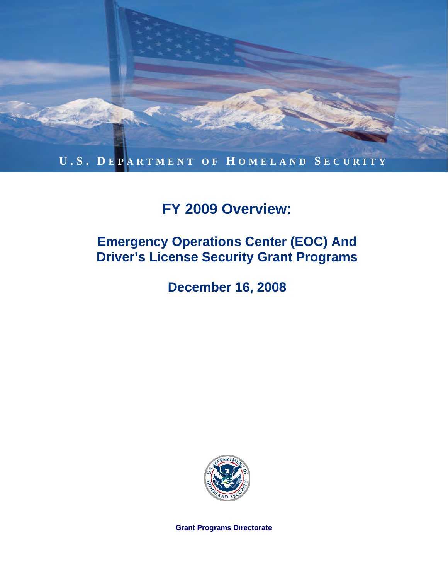

## **FY 2009 Overview:**

## **Emergency Operations Center (EOC) And Driver's License Security Grant Programs**

**December 16, 2008** 



**Grant Programs Directorate**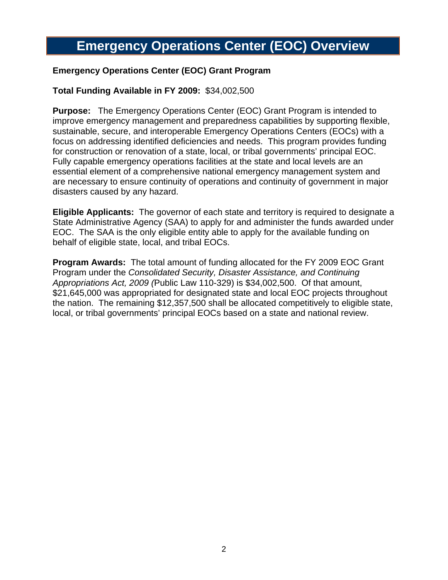## **Emergency Operations Center (EOC) Overview**

#### **Emergency Operations Center (EOC) Grant Program**

#### **Total Funding Available in FY 2009:** \$34,002,500

**Purpose:** The Emergency Operations Center (EOC) Grant Program is intended to improve emergency management and preparedness capabilities by supporting flexible, sustainable, secure, and interoperable Emergency Operations Centers (EOCs) with a focus on addressing identified deficiencies and needs. This program provides funding for construction or renovation of a state, local, or tribal governments' principal EOC. Fully capable emergency operations facilities at the state and local levels are an essential element of a comprehensive national emergency management system and are necessary to ensure continuity of operations and continuity of government in major disasters caused by any hazard.

**Eligible Applicants:** The governor of each state and territory is required to designate a State Administrative Agency (SAA) to apply for and administer the funds awarded under EOC. The SAA is the only eligible entity able to apply for the available funding on behalf of eligible state, local, and tribal EOCs.

**Program Awards:** The total amount of funding allocated for the FY 2009 EOC Grant Program under the *Consolidated Security, Disaster Assistance, and Continuing Appropriations Act, 2009 (*Public Law 110-329) is \$34,002,500. Of that amount, \$21,645,000 was appropriated for designated state and local EOC projects throughout the nation. The remaining \$12,357,500 shall be allocated competitively to eligible state, local, or tribal governments' principal EOCs based on a state and national review.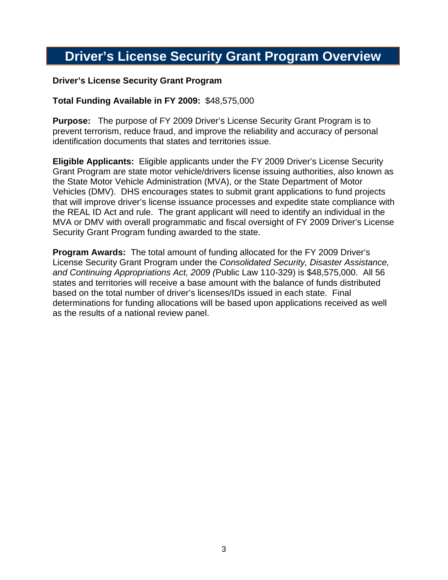### **Driver's License Security Grant Program Overview**

#### **Driver's License Security Grant Program**

#### **Total Funding Available in FY 2009:** \$48,575,000

**Purpose:** The purpose of FY 2009 Driver's License Security Grant Program is to prevent terrorism, reduce fraud, and improve the reliability and accuracy of personal identification documents that states and territories issue.

**Eligible Applicants:** Eligible applicants under the FY 2009 Driver's License Security Grant Program are state motor vehicle/drivers license issuing authorities, also known as the State Motor Vehicle Administration (MVA), or the State Department of Motor Vehicles (DMV). DHS encourages states to submit grant applications to fund projects that will improve driver's license issuance processes and expedite state compliance with the REAL ID Act and rule. The grant applicant will need to identify an individual in the MVA or DMV with overall programmatic and fiscal oversight of FY 2009 Driver's License Security Grant Program funding awarded to the state.

**Program Awards:** The total amount of funding allocated for the FY 2009 Driver's License Security Grant Program under the *Consolidated Security, Disaster Assistance, and Continuing Appropriations Act, 2009 (*Public Law 110-329) is \$48,575,000. All 56 states and territories will receive a base amount with the balance of funds distributed based on the total number of driver's licenses/IDs issued in each state. Final determinations for funding allocations will be based upon applications received as well as the results of a national review panel.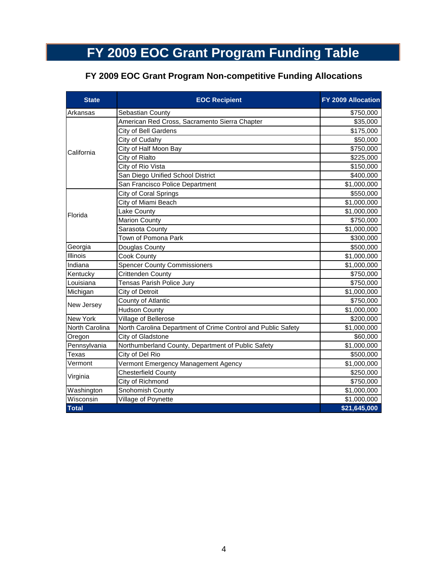# **FY 2009 EOC Grant Program Funding Table**

### **FY 2009 EOC Grant Program Non-competitive Funding Allocations**

| <b>State</b>   | <b>EOC Recipient</b>                                         | FY 2009 Allocation |
|----------------|--------------------------------------------------------------|--------------------|
| Arkansas       | Sebastian County                                             | \$750,000          |
| California     | American Red Cross, Sacramento Sierra Chapter                | \$35,000           |
|                | City of Bell Gardens                                         | \$175,000          |
|                | City of Cudahy                                               | \$50,000           |
|                | City of Half Moon Bay                                        | \$750,000          |
|                | City of Rialto                                               | \$225,000          |
|                | City of Rio Vista                                            | \$150,000          |
|                | San Diego Unified School District                            | \$400,000          |
|                | San Francisco Police Department                              | \$1,000,000        |
| Florida        | City of Coral Springs                                        | \$550,000          |
|                | City of Miami Beach                                          | \$1,000,000        |
|                | Lake County                                                  | \$1,000,000        |
|                | <b>Marion County</b>                                         | \$750,000          |
|                | Sarasota County                                              | \$1,000,000        |
|                | Town of Pomona Park                                          | \$300,000          |
| Georgia        | Douglas County                                               | \$500,000          |
| Illinois       | Cook County                                                  | \$1,000,000        |
| Indiana        | <b>Spencer County Commissioners</b>                          | \$1,000,000        |
| Kentucky       | Crittenden County                                            | \$750,000          |
| Louisiana      | Tensas Parish Police Jury                                    | \$750,000          |
| Michigan       | City of Detroit                                              | \$1,000,000        |
| New Jersey     | County of Atlantic                                           | \$750,000          |
|                | <b>Hudson County</b>                                         | \$1,000,000        |
| New York       | Village of Bellerose                                         | \$200,000          |
| North Carolina | North Carolina Department of Crime Control and Public Safety | \$1,000,000        |
| Oregon         | City of Gladstone                                            | \$60,000           |
| Pennsylvania   | Northumberland County, Department of Public Safety           | \$1,000,000        |
| Texas          | City of Del Rio                                              | \$500,000          |
| Vermont        | Vermont Emergency Management Agency                          | \$1,000,000        |
| Virginia       | Chesterfield County                                          | \$250,000          |
|                | City of Richmond                                             | \$750,000          |
| Washington     | Snohomish County                                             | \$1,000,000        |
| Wisconsin      | Village of Poynette                                          | \$1,000,000        |
| <b>Total</b>   |                                                              | \$21,645,000       |